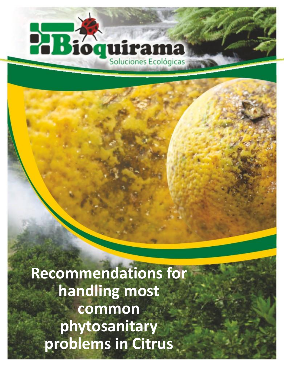## 23 Π ırama Soluciones Ecológicas

**Recommendations for handling most common phytosanitary problems in Citrus**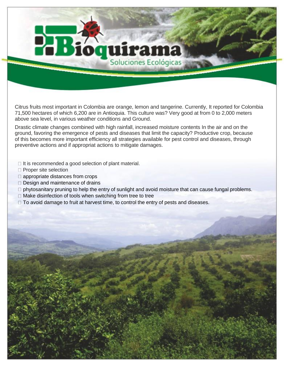# quirama Soluciones Ecológicas

Citrus fruits most important in Colombia are orange, lemon and tangerine. Currently, It reported for Colombia 71,500 hectares of which 6,200 are in Antioquia. This culture was? Very good at from 0 to 2,000 meters above sea level, in various weather conditions and Ground.

Drastic climate changes combined with high rainfall, increased moisture contents In the air and on the ground, favoring the emergence of pests and diseases that limit the capacity? Productive crop, because of this becomes more important efficiency all strategies available for pest control and diseases, through preventive actions and if appropriat actions to mitigate damages.

- $\Box$  It is recommended a good selection of plant material.
- □ Proper site selection
- $\Box$  appropriate distances from crops
- $\Box$  Design and maintenance of drains
- $\Box$  phytosanitary pruning to help the entry of sunlight and avoid moisture that can cause fungal problems.
- $\Box$  Make disinfection of tools when switching from tree to tree
- $\Box$  To avoid damage to fruit at harvest time, to control the entry of pests and diseases.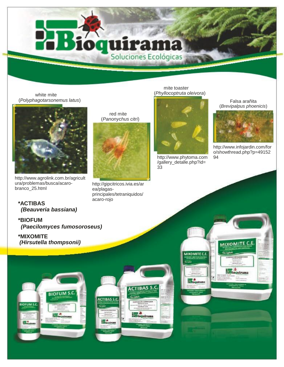white mite (*Polyphagotarsonemus latus*)



http://www.agrolink.com.br/agricult ura/problemas/busca/acarobranco\_25.html

**\*ACTIBAS** *(Beauveria bassiana)*

**\*BIOFUM** *(Paecilomyces fumosoroseus)*

**\*MIXOMITE** *(Hirsutella thompsonii)*





red mite

**UIPAMA** 



http://gipcitricos.ivia.es/ar ea/plagasprincipales/tetraniquidos/ acaro-rojo

#### mite toaster (*Phyllocoptruta oleivora*)



http://www.phytoma.com /gallery\_detalle.php?id= 33

MIXOMITE C.E

Falsa arañita (*Brevipalpus phoenicis*)



http://www.infojardin.com/for o/showthread.php?p=49152 94

**MIXOMI** 

**Hillinguira** 

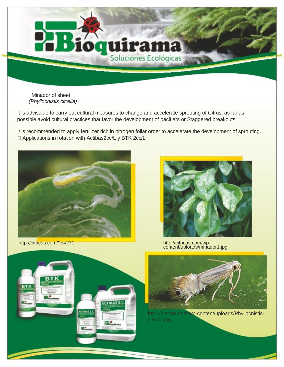

Minador of sheet *(Phyllocnistis citrella)*

It is advisable to carry out cultural measures to change and accelerate sprouting of Citrus, as far as possible avoid cultural practices that favor the development of pacifiers or Staggered breakouts.

It is recommended to apply fertilizer rich in nitrogen foliar order to accelerate the development of sprouting. □ Applications in rotation with Actibas2cc/L y BTK 2cc/L



http://citricas.com/?p=271







http://citricas.com/wp-content/uploads/Phyllocnistiscitrella.jpg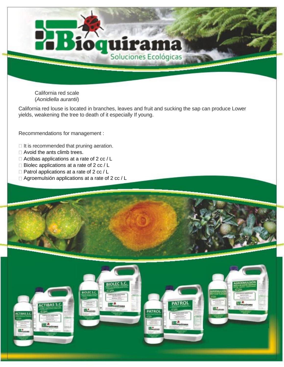

California red louse is located in branches, leaves and fruit and sucking the sap can produce Lower yields, weakening the tree to death of it especially If young.

**quirama** 

Recommendations for management :

- $\Box$  It is recommended that pruning aeration.
- □ Avoid the ants climb trees.
- □ Actibas applications at a rate of 2 cc / L
- $\Box$  Biolec applications at a rate of 2 cc / L
- $\Box$  Patrol applications at a rate of 2 cc / L
- $\Box$  Agroemulsión applications at a rate of 2 cc / L



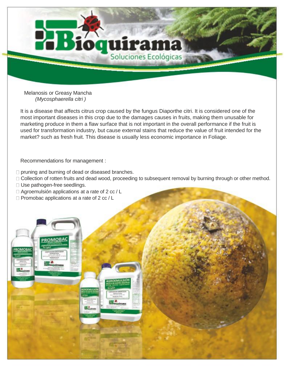

Melanosis or Greasy Mancha *(Mycosphaerella citri )*

It is a disease that affects citrus crop caused by the fungus Diaporthe citri. It is considered one of the most important diseases in this crop due to the damages causes in fruits, making them unusable for marketing produce in them a flaw surface that is not important in the overall performance if the fruit is used for transformation industry, but cause external stains that reduce the value of fruit intended for the market? such as fresh fruit. This disease is usually less economic importance in Foliage.

Recommendations for management :

 $\Box$  pruning and burning of dead or diseased branches.

□ Collection of rotten fruits and dead wood, proceeding to subsequent removal by burning through or other method.

- □ Use pathogen-free seedlings.
- $\Box$  Agroemulsión applications at a rate of 2 cc / L
- $\Box$  Promobac applications at a rate of 2 cc / L

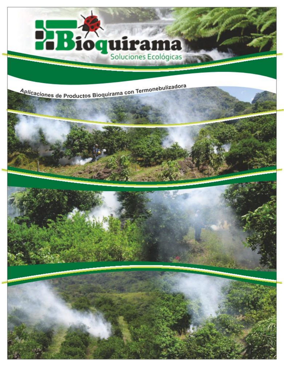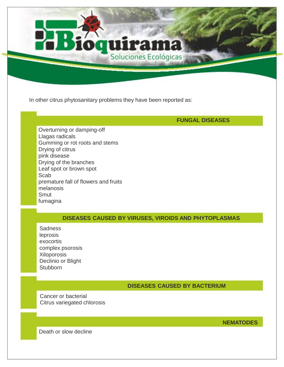

### **FUNGAL DISEASES**

Overturning or damping-off Llagas radicals Gumming or rot roots and stems Drying of citrus pink disease Drying of the branches Leaf spot or brown spot **Scab** premature fall of flowers and fruits melanosis **Smut** fumagina

#### **DISEASES CAUSED BY VIRUSES, VIROIDS AND PHYTOPLASMAS**

uırama

Soluciones Ecológicas

**Sadness** leprosis exocortis complex psorosis **Xiloporosis** Declinio or Blight **Stubborn** 

#### **DISEASES CAUSED BY BACTERIUM**

Cancer or bacterial Citrus variegated chlorosis

**NEMATODES**

Death or slow decline